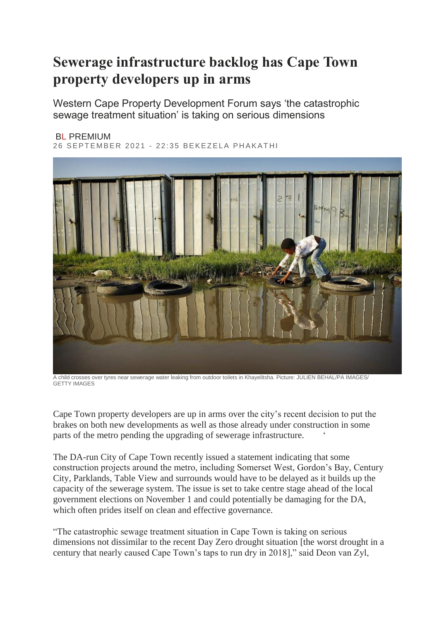## **Sewerage infrastructure backlog has Cape Town property developers up in arms**

Western Cape Property Development Forum says 'the catastrophic sewage treatment situation' is taking on serious dimensions

## BL [PREMIUM](https://www.businesslive.co.za/premium/)

26 SEPTEMBER 2021 - 22:35 BEKEZELA PHAKATHI



A child crosses over tyres near sewerage water leaking from outdoor toilets in Khayelitsha. Picture: JULIEN BEHAL/PA IMAGES/ GETTY IMAGES

Cape Town property developers are up in arms over the city"s recent decision to put the brakes on both new developments as well as those already under construction in some parts of the metro pending the upgrading of sewerage infrastructure.

The DA-run City of Cape Town recently issued a statement indicating that some construction projects around the metro, including Somerset West, Gordon"s Bay, Century City, Parklands, Table View and surrounds would have to be delayed as it builds up the capacity of the sewerage system. The issue is set to take centre stage ahead of the local government elections on November 1 and could potentially be damaging for the DA, which often prides itself on clean and effective governance.

"The catastrophic sewage treatment situation in Cape Town is taking on serious dimensions not dissimilar to the recent Day Zero drought situation [the worst drought in a century that nearly caused Cape Town"s taps to run dry in 2018]," said Deon van Zyl,